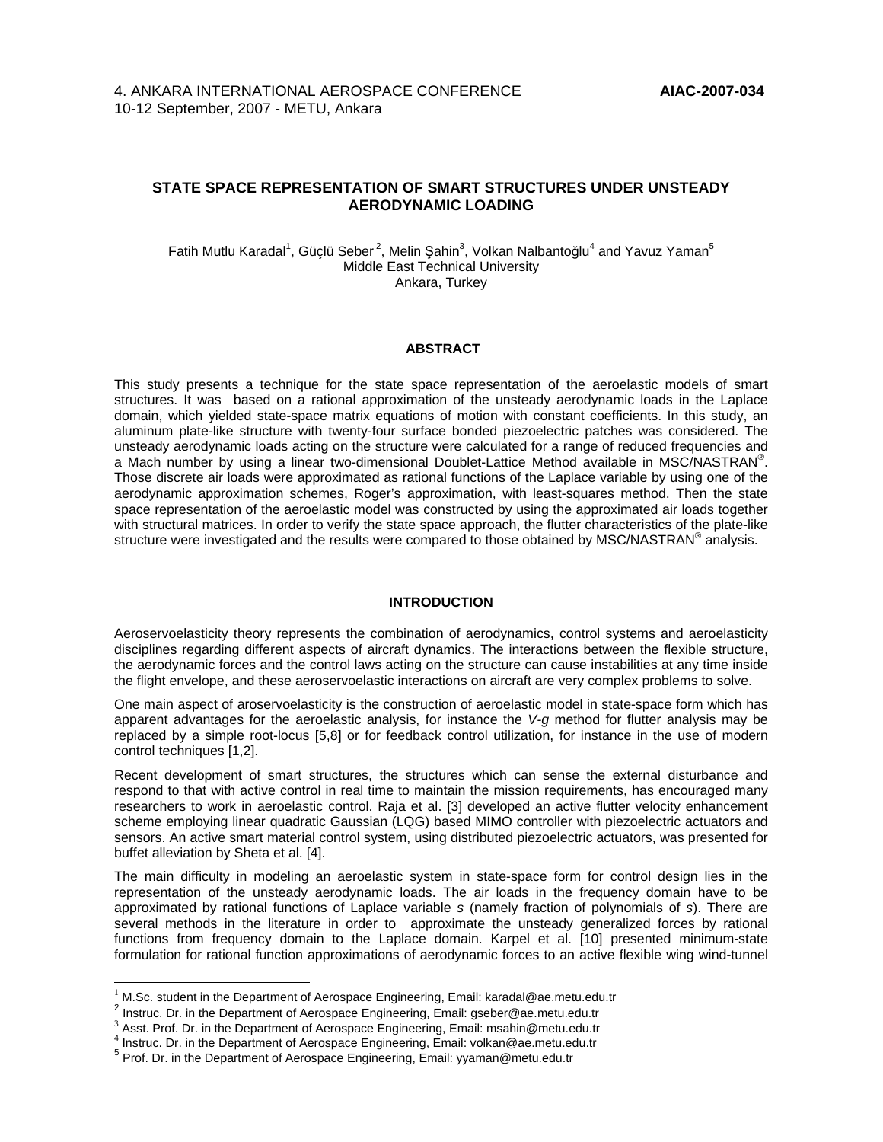# **STATE SPACE REPRESENTATION OF SMART STRUCTURES UNDER UNSTEADY AERODYNAMIC LOADING**

Fatih Mutlu Karadal<sup>1</sup>, Güçlü Seber<sup>2</sup>, Melin Şahin<sup>3</sup>, Volkan Nalbantoğlu<sup>4</sup> and Yavuz Yaman<sup>5</sup> Middle East Technical University Ankara, Turkey

### **ABSTRACT**

This study presents a technique for the state space representation of the aeroelastic models of smart structures. It was based on a rational approximation of the unsteady aerodynamic loads in the Laplace domain, which yielded state-space matrix equations of motion with constant coefficients. In this study, an aluminum plate-like structure with twenty-four surface bonded piezoelectric patches was considered. The unsteady aerodynamic loads acting on the structure were calculated for a range of reduced frequencies and a Mach number by using a linear two-dimensional Doublet-Lattice Method available in MSC/NASTRAN®. Those discrete air loads were approximated as rational functions of the Laplace variable by using one of the aerodynamic approximation schemes, Roger's approximation, with least-squares method. Then the state space representation of the aeroelastic model was constructed by using the approximated air loads together with structural matrices. In order to verify the state space approach, the flutter characteristics of the plate-like structure were investigated and the results were compared to those obtained by MSC/NASTRAN® analysis.

### **INTRODUCTION**

Aeroservoelasticity theory represents the combination of aerodynamics, control systems and aeroelasticity disciplines regarding different aspects of aircraft dynamics. The interactions between the flexible structure, the aerodynamic forces and the control laws acting on the structure can cause instabilities at any time inside the flight envelope, and these aeroservoelastic interactions on aircraft are very complex problems to solve.

One main aspect of aroservoelasticity is the construction of aeroelastic model in state-space form which has apparent advantages for the aeroelastic analysis, for instance the V-g method for flutter analysis may be replaced by a simple root-locus [5,8] or for feedback control utilization, for instance in the use of modern control techniques [1,2].

Recent development of smart structures, the structures which can sense the external disturbance and respond to that with active control in real time to maintain the mission requirements, has encouraged many researchers to work in aeroelastic control. Raja et al. [3] developed an active flutter velocity enhancement scheme employing linear quadratic Gaussian (LQG) based MIMO controller with piezoelectric actuators and sensors. An active smart material control system, using distributed piezoelectric actuators, was presented for buffet alleviation by Sheta et al. [4].

The main difficulty in modeling an aeroelastic system in state-space form for control design lies in the representation of the unsteady aerodynamic loads. The air loads in the frequency domain have to be approximated by rational functions of Laplace variable s (namely fraction of polynomials of s). There are several methods in the literature in order to approximate the unsteady generalized forces by rational functions from frequency domain to the Laplace domain. Karpel et al. [10] presented minimum-state formulation for rational function approximations of aerodynamic forces to an active flexible wing wind-tunnel

 $\overline{a}$ 

<sup>1</sup> M.Sc. student in the Department of Aerospace Engineering, Email: karadal@ae.metu.edu.tr

<sup>&</sup>lt;sup>2</sup> Instruc. Dr. in the Department of Aerospace Engineering, Email: gseber@ae.metu.edu.tr

<sup>3</sup> Asst. Prof. Dr. in the Department of Aerospace Engineering, Email: msahin@metu.edu.tr

<sup>4</sup> Instruc. Dr. in the Department of Aerospace Engineering, Email: volkan@ae.metu.edu.tr

<sup>&</sup>lt;sup>5</sup> Prof. Dr. in the Department of Aerospace Engineering, Email: yyaman@metu.edu.tr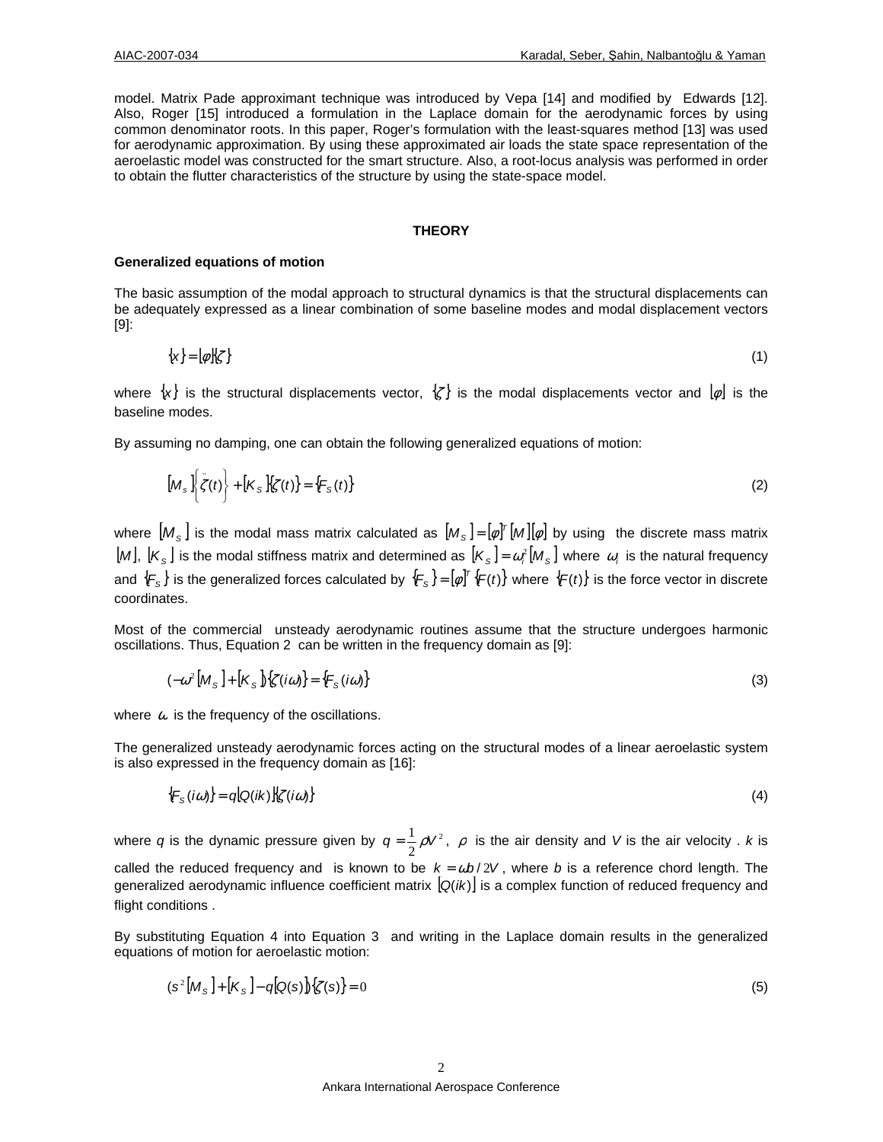model. Matrix Pade approximant technique was introduced by Vepa [14] and modified by Edwards [12]. Also, Roger [15] introduced a formulation in the Laplace domain for the aerodynamic forces by using common denominator roots. In this paper, Roger's formulation with the least-squares method [13] was used for aerodynamic approximation. By using these approximated air loads the state space representation of the aeroelastic model was constructed for the smart structure. Also, a root-locus analysis was performed in order to obtain the flutter characteristics of the structure by using the state-space model.

#### **THEORY**

#### **Generalized equations of motion**

The basic assumption of the modal approach to structural dynamics is that the structural displacements can be adequately expressed as a linear combination of some baseline modes and modal displacement vectors [9]:

$$
\{\mathbf x\} = [\phi]\{\zeta\} \tag{1}
$$

where  $\{x\}$  is the structural displacements vector,  $\{z\}$  is the modal displacements vector and  $[\phi]$  is the baseline modes.

By assuming no damping, one can obtain the following generalized equations of motion:

$$
[Ms]\left\{\ddot{\zeta}(t)\right\} + [Ks]\xi(t)\} = \{Fs(t)\}
$$
\n(2)

where  $[M_{_{\rm S}}]$  is the modal mass matrix calculated as  $[M_{_{\rm S}}]=[{\phi}]^{\tau}[M][\phi]$  by using the discrete mass matrix  $[M], [K_{\rm s}]$  is the modal stiffness matrix and determined as  $[K_{\rm s}]$  =  $\omega_i^2[M_{\rm s}]$  where  $[\omega_i]$  is the natural frequency and  $\{F_{\rm s}\}$  is the generalized forces calculated by  $\{F_{\rm s}\}$  =  $[\phi]^{\tau}\{F(t)\}$  where  $\{F(t)\}$  is the force vector in discrete coordinates.

Most of the commercial unsteady aerodynamic routines assume that the structure undergoes harmonic oscillations. Thus, Equation 2 can be written in the frequency domain as [9]:

$$
(-\omega^2 [M_S] + [K_S])\{\zeta(i\omega)\} = \{F_S(i\omega)\}\tag{3}
$$

where  $\omega$  is the frequency of the oscillations.

The generalized unsteady aerodynamic forces acting on the structural modes of a linear aeroelastic system is also expressed in the frequency domain as [16]:

$$
\{F_{\mathcal{S}}(i\omega)\} = q[Q(i\kappa)]\{\zeta(i\omega)\}\tag{4}
$$

where q is the dynamic pressure given by  $q = \frac{1}{2}\rho V^2$  $q = \frac{1}{2}\rho V^2$ ,  $\rho$  is the air density and V is the air velocity . k is called the reduced frequency and is known to be  $k = \omega b / 2V$ , where b is a reference chord length. The generalized aerodynamic influence coefficient matrix  $[Q(ik)]$  is a complex function of reduced frequency and flight conditions .

By substituting Equation 4 into Equation 3 and writing in the Laplace domain results in the generalized equations of motion for aeroelastic motion:

$$
(\mathbf{s}^{2}[M_{\mathbf{s}}]+[K_{\mathbf{s}}]-q[Q(\mathbf{s})]\}\{\zeta(\mathbf{s})\}=0
$$
\n(5)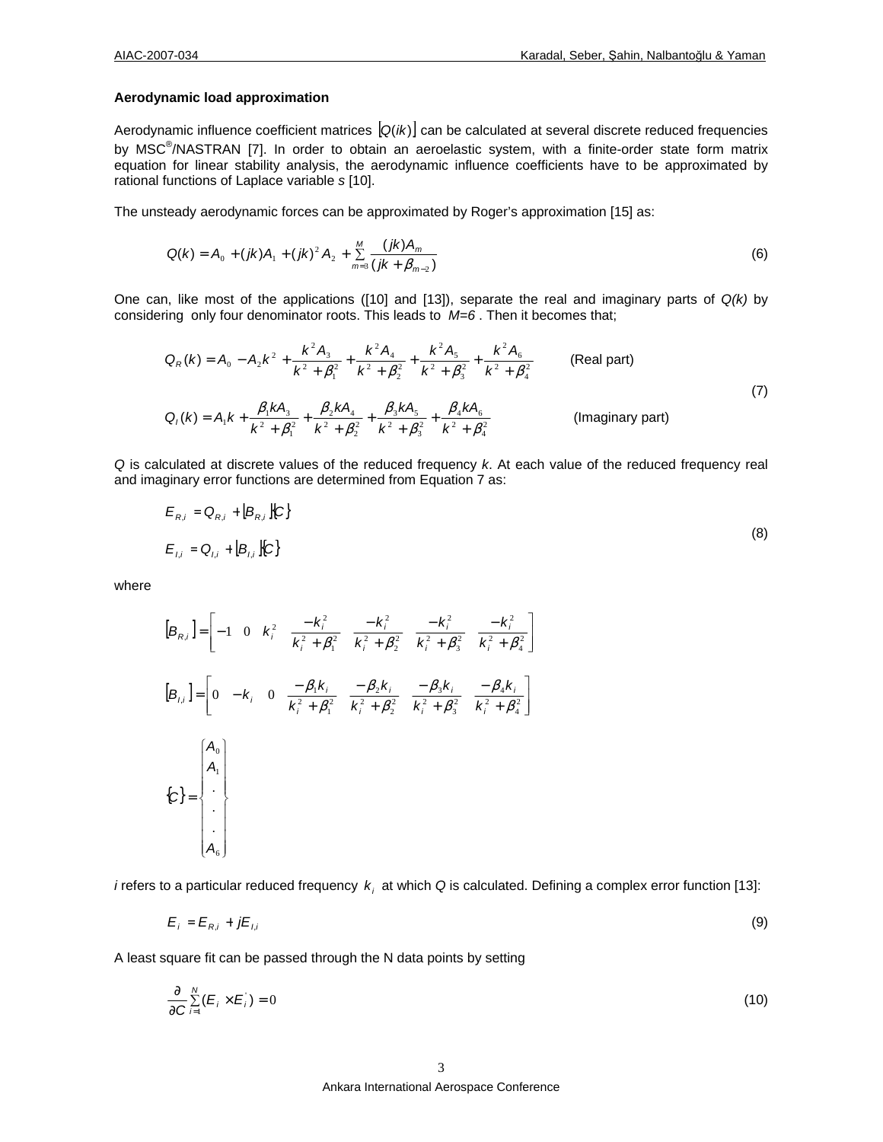### **Aerodynamic load approximation**

Aerodynamic influence coefficient matrices  $[Q(ik)]$  can be calculated at several discrete reduced frequencies by MSC<sup>®</sup>/NASTRAN [7]. In order to obtain an aeroelastic system, with a finite-order state form matrix equation for linear stability analysis, the aerodynamic influence coefficients have to be approximated by rational functions of Laplace variable s [10].

The unsteady aerodynamic forces can be approximated by Roger's approximation [15] as:

$$
Q(k) = A_0 + (jk)A_1 + (jk)^2 A_2 + \sum_{m=3}^{M} \frac{(jk)A_m}{(jk + \beta_{m-2})}
$$
(6)

One can, like most of the applications ([10] and [13]), separate the real and imaginary parts of  $Q(k)$  by considering only four denominator roots. This leads to  $M=6$ . Then it becomes that;

$$
Q_R(k) = A_0 - A_2 k^2 + \frac{k^2 A_3}{k^2 + \beta_1^2} + \frac{k^2 A_4}{k^2 + \beta_2^2} + \frac{k^2 A_5}{k^2 + \beta_3^2} + \frac{k^2 A_6}{k^2 + \beta_4^2}
$$
 (Real part)  
\n
$$
Q_l(k) = A_1 k + \frac{\beta_1 k A_3}{k^2 + \beta_1^2} + \frac{\beta_2 k A_4}{k^2 + \beta_2^2} + \frac{\beta_3 k A_5}{k^2 + \beta_3^2} + \frac{\beta_4 k A_6}{k^2 + \beta_4^2}
$$
 (Imaginary part)

Q is calculated at discrete values of the reduced frequency k. At each value of the reduced frequency real and imaginary error functions are determined from Equation 7 as:

$$
E_{R,i} = Q_{R,i} + [B_{R,i}][C]
$$
  

$$
E_{l,i} = Q_{l,i} + [B_{l,i}][C]
$$
 (8)

where

$$
[B_{R,i}] = \begin{bmatrix} -1 & 0 & k_i^2 & \frac{-k_i^2}{k_i^2 + \beta_i^2} & \frac{-k_i^2}{k_i^2 + \beta_i^2} & \frac{-k_i^2}{k_i^2 + \beta_i^2} & \frac{-k_i^2}{k_i^2 + \beta_i^2} \end{bmatrix}
$$
  
\n
$$
[B_{i,i}] = \begin{bmatrix} 0 & -k_i & 0 & \frac{-\beta_1 k_i}{k_i^2 + \beta_i^2} & \frac{-\beta_2 k_i}{k_i^2 + \beta_i^2} & \frac{-\beta_3 k_i}{k_i^2 + \beta_3^2} & \frac{-\beta_4 k_i}{k_i^2 + \beta_4^2} \end{bmatrix}
$$
  
\n
$$
\{C\} = \begin{bmatrix} A_0 \\ A_1 \\ \vdots \\ A_6 \end{bmatrix}
$$

*i* refers to a particular reduced frequency  $k_i$  at which Q is calculated. Defining a complex error function [13]:

$$
E_i = E_{R,i} + jE_{l,i} \tag{9}
$$

A least square fit can be passed through the N data points by setting

$$
\frac{\partial}{\partial C} \sum_{i=1}^{N} (E_i \times E_i) = 0
$$
\n(10)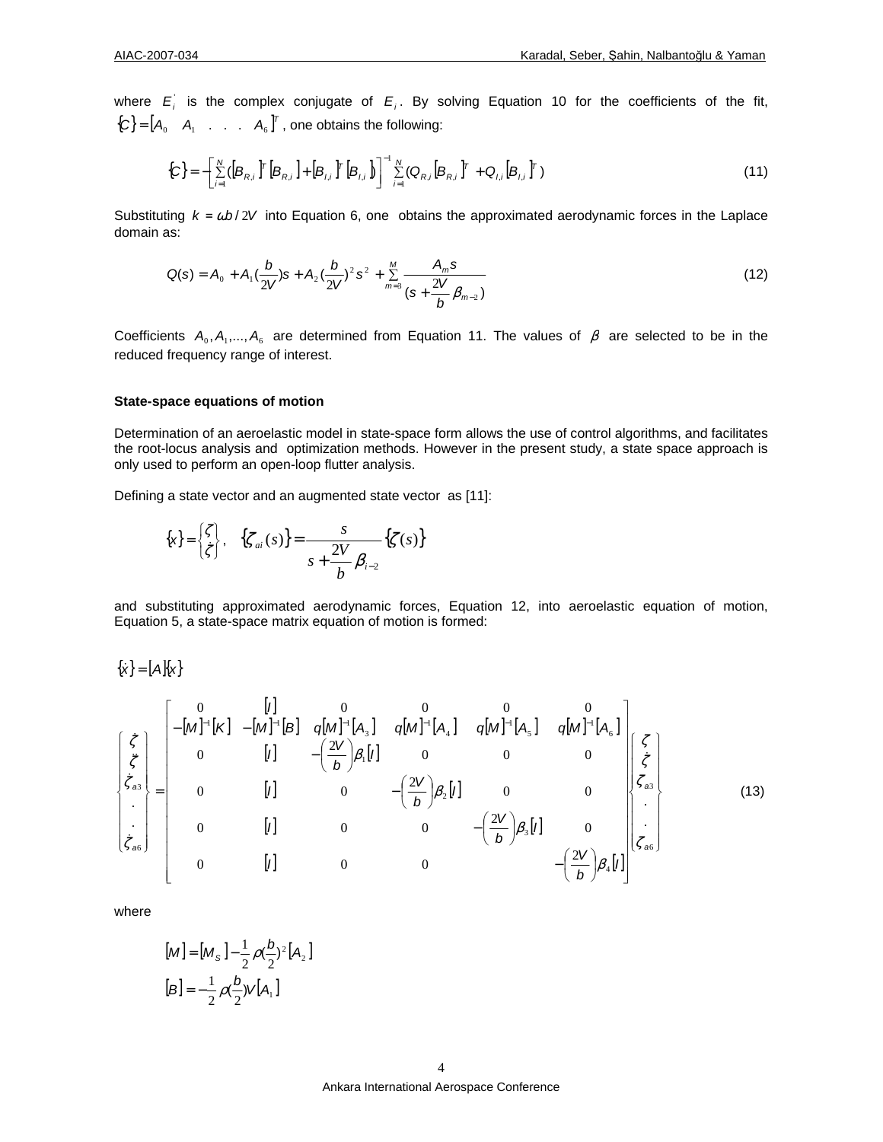where  $E_i$  is the complex conjugate of  $E_i$ . By solving Equation 10 for the coefficients of the fit,  ${C} = [A_0 \ A_1 \ A \ A_6]^T$ , one obtains the following:

$$
\{C\} = -\left[\sum_{i=1}^{N} ([B_{R,i}]^{T} [B_{R,i}] + [B_{l,i}]^{T} [B_{l,i}] \right]^{-1} \sum_{i=1}^{N} (Q_{R,i} [B_{R,i}]^{T} + Q_{l,i} [B_{l,i}]^{T})
$$
(11)

Substituting  $k = \omega b / 2V$  into Equation 6, one obtains the approximated aerodynamic forces in the Laplace domain as:

$$
Q(s) = A_0 + A_1 \left(\frac{b}{2V}\right)s + A_2 \left(\frac{b}{2V}\right)^2 s^2 + \sum_{m=3}^{M} \frac{A_m s}{\left(s + \frac{2V}{b}\beta_{m-2}\right)}
$$
(12)

Coefficients  $A_0$ ,  $A_1$ ,...,  $A_6$  are determined from Equation 11. The values of  $\beta$  are selected to be in the reduced frequency range of interest.

### **State-space equations of motion**

Determination of an aeroelastic model in state-space form allows the use of control algorithms, and facilitates the root-locus analysis and optimization methods. However in the present study, a state space approach is only used to perform an open-loop flutter analysis.

Defining a state vector and an augmented state vector as [11]:

$$
\{\mathbf{x}\} = \begin{cases} \zeta \\ \zeta \end{cases}, \quad \{\zeta_{ai}(s)\} = \frac{s}{s + \frac{2V}{b}\beta_{i-2}} \{\zeta(s)\}
$$

and substituting approximated aerodynamic forces, Equation 12, into aeroelastic equation of motion, Equation 5, a state-space matrix equation of motion is formed:

 $\{\dot{x}\} = [A]\{x\}$ 

$$
\begin{bmatrix}\n\dot{\zeta} \\
\dot{\zeta} \\
\dot{\zeta}_{\dot{a}\dot{\delta}} \\
\dot{\zeta}_{\dot{a}\delta}\n\end{bmatrix} = \begin{bmatrix}\n0 & [I] & 0 & 0 & 0 & 0 \\
-[M]^{-1}[K] & -[M]^{-1}[B] & q[M]^{-1}[A_{3}] & q[M]^{-1}[A_{4}] & q[M]^{-1}[A_{5}] & q[M]^{-1}[A_{6}] \\
0 & [I] & -\left(\frac{2V}{b}\right)\beta_{1}[I] & 0 & 0 & 0 \\
0 & [I] & 0 & -\left(\frac{2V}{b}\right)\beta_{2}[I] & 0 & 0 \\
0 & [I] & 0 & 0 & -\left(\frac{2V}{b}\right)\beta_{3}[I] & 0 \\
0 & [I] & 0 & 0 & -\left(\frac{2V}{b}\right)\beta_{4}[I] & 0 \\
0 & [I] & 0 & 0 & -\left(\frac{2V}{b}\right)\beta_{4}[I]\n\end{bmatrix} \begin{bmatrix}\n\zeta \\
\zeta \\
\zeta_{\dot{a}\dot{\delta}} \\
\vdots \\
\zeta_{\dot{a}\dot{\delta}}\n\end{bmatrix}
$$
\n(13)

where

$$
[M] = [Ms] - \frac{1}{2} \rho(\frac{b}{2})^{2} [A_{2}]
$$
  

$$
[B] = -\frac{1}{2} \rho(\frac{b}{2}) V [A_{1}]
$$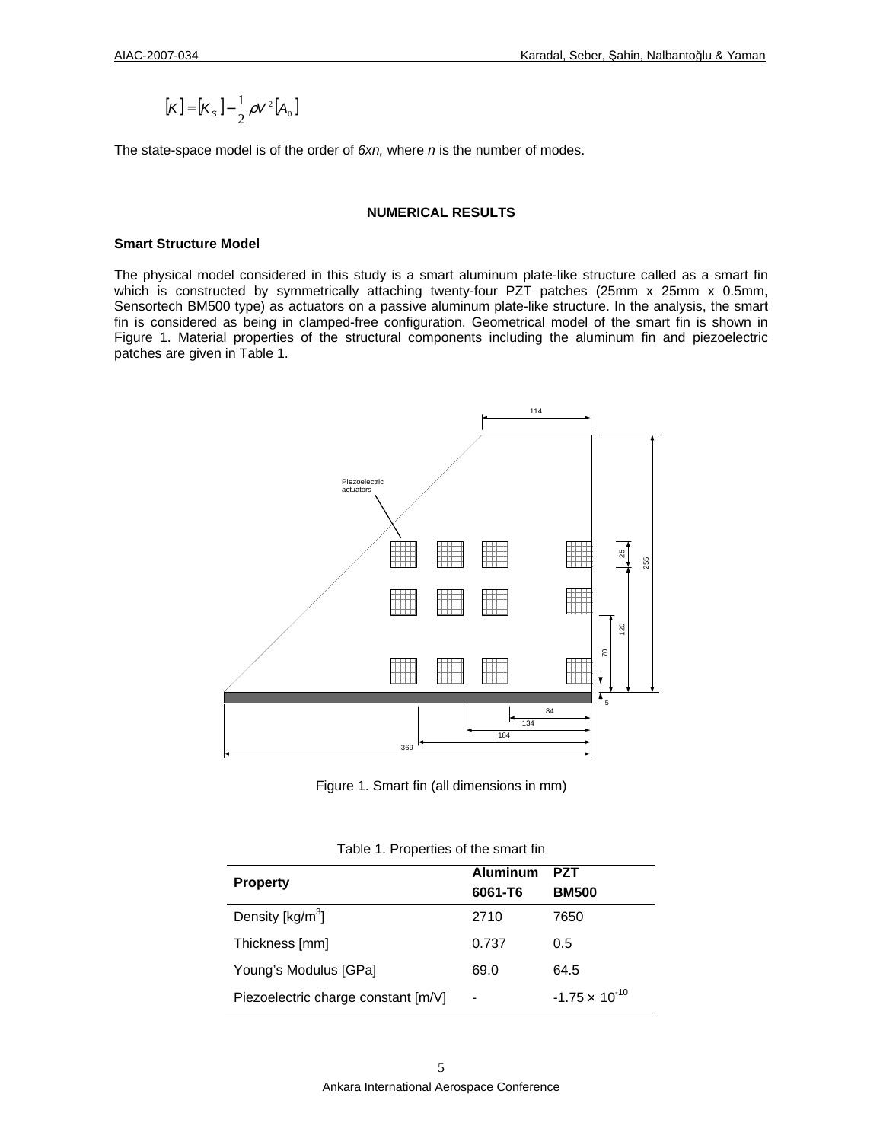$$
[\mathbf{K}] = [\mathbf{K}_{\mathrm{S}}] - \frac{1}{2} \rho \mathbf{V}^2 [\mathbf{A}_0]
$$

The state-space model is of the order of  $6xn$ , where  $n$  is the number of modes.

## **NUMERICAL RESULTS**

#### **Smart Structure Model**

The physical model considered in this study is a smart aluminum plate-like structure called as a smart fin which is constructed by symmetrically attaching twenty-four PZT patches (25mm x 25mm x 0.5mm, Sensortech BM500 type) as actuators on a passive aluminum plate-like structure. In the analysis, the smart fin is considered as being in clamped-free configuration. Geometrical model of the smart fin is shown in Figure 1. Material properties of the structural components including the aluminum fin and piezoelectric patches are given in Table 1.



Figure 1. Smart fin (all dimensions in mm)

| <b>Property</b>                     | Aluminum | PZT                     |
|-------------------------------------|----------|-------------------------|
|                                     | 6061-T6  | <b>BM500</b>            |
| Density $[kg/m3]$                   | 2710     | 7650                    |
| Thickness [mm]                      | 0.737    | 0.5                     |
| Young's Modulus [GPa]               | 69.0     | 64.5                    |
| Piezoelectric charge constant [m/V] |          | $-1.75 \times 10^{-10}$ |

Table 1. Properties of the smart fin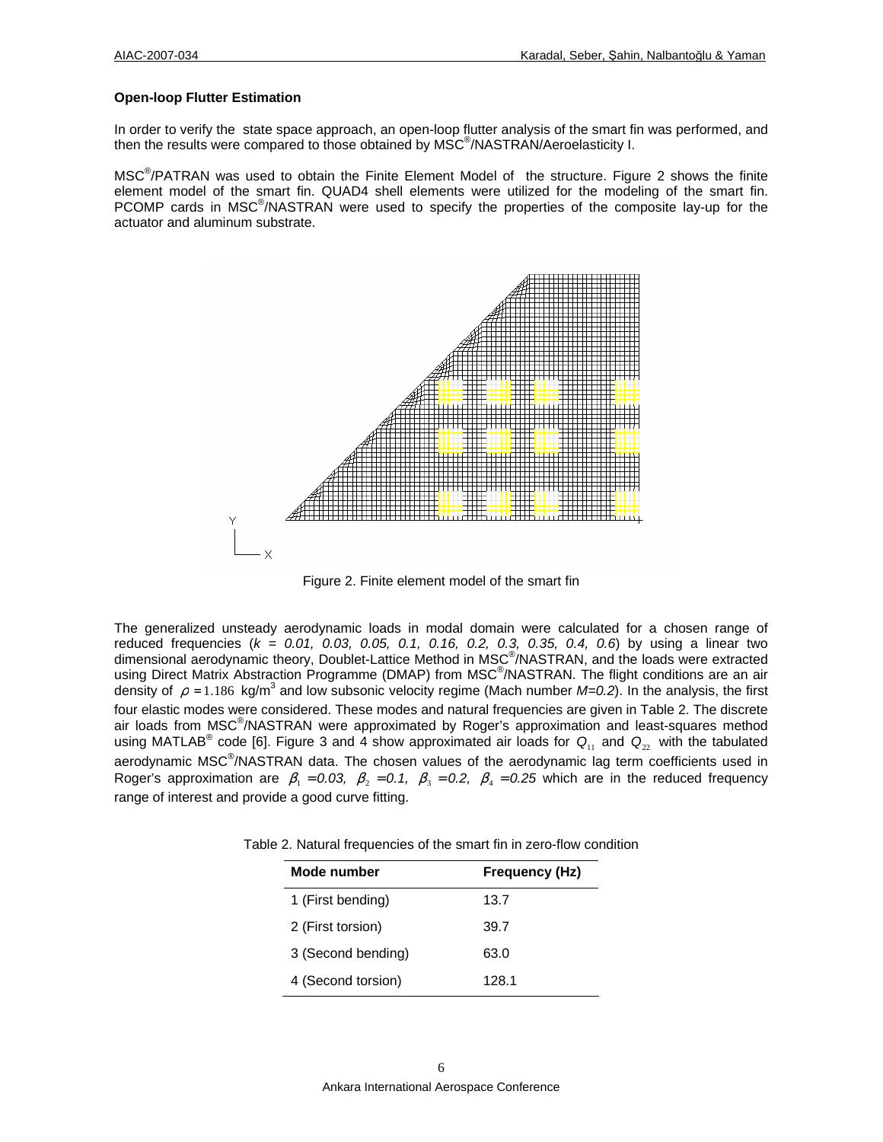### **Open-loop Flutter Estimation**

In order to verify the state space approach, an open-loop flutter analysis of the smart fin was performed, and then the results were compared to those obtained by MSC<sup>®</sup>/NASTRAN/Aeroelasticity I.

MSC<sup>®</sup>/PATRAN was used to obtain the Finite Element Model of the structure. Figure 2 shows the finite element model of the smart fin. QUAD4 shell elements were utilized for the modeling of the smart fin. PCOMP cards in MSC<sup>®</sup>/NASTRAN were used to specify the properties of the composite lay-up for the actuator and aluminum substrate.



Figure 2. Finite element model of the smart fin

The generalized unsteady aerodynamic loads in modal domain were calculated for a chosen range of reduced frequencies ( $k = 0.01$ , 0.03, 0.05, 0.1, 0.16, 0.2, 0.3, 0.35, 0.4, 0.6) by using a linear two dimensional aerodynamic theory, Doublet-Lattice Method in MSC® /NASTRAN, and the loads were extracted using Direct Matrix Abstraction Programme (DMAP) from MSC<sup>®</sup>/NASTRAN. The flight conditions are an air density of  $\rho = 1.186$  kg/m<sup>3</sup> and low subsonic velocity regime (Mach number M=0.2). In the analysis, the first four elastic modes were considered. These modes and natural frequencies are given in Table 2. The discrete air loads from MSC® /NASTRAN were approximated by Roger's approximation and least-squares method using MATLAB<sup>®</sup> code [6]. Figure 3 and 4 show approximated air loads for  $Q_{11}$  and  $Q_{22}$  with the tabulated aerodynamic MSC<sup>®</sup>/NASTRAN data. The chosen values of the aerodynamic lag term coefficients used in Roger's approximation are  $\beta_1 = 0.03$ ,  $\beta_2 = 0.1$ ,  $\beta_3 = 0.2$ ,  $\beta_4 = 0.25$  which are in the reduced frequency range of interest and provide a good curve fitting.

| Mode number        | Frequency (Hz) |  |
|--------------------|----------------|--|
| 1 (First bending)  | 13.7           |  |
| 2 (First torsion)  | 39.7           |  |
| 3 (Second bending) | 63.0           |  |
| 4 (Second torsion) | 128.1          |  |

Table 2. Natural frequencies of the smart fin in zero-flow condition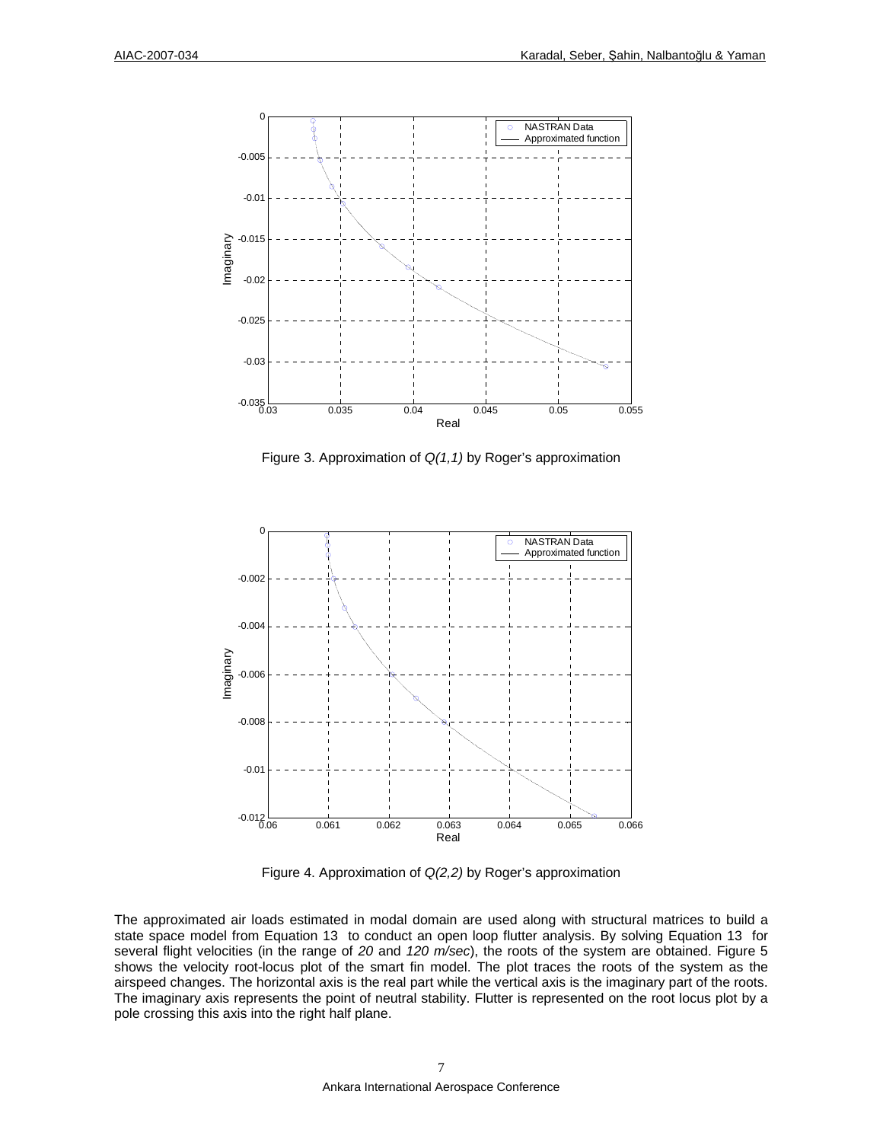

Figure 3. Approximation of  $Q(1,1)$  by Roger's approximation



Figure 4. Approximation of Q(2,2) by Roger's approximation

The approximated air loads estimated in modal domain are used along with structural matrices to build a state space model from Equation 13 to conduct an open loop flutter analysis. By solving Equation 13 for several flight velocities (in the range of 20 and 120 m/sec), the roots of the system are obtained. Figure 5 shows the velocity root-locus plot of the smart fin model. The plot traces the roots of the system as the airspeed changes. The horizontal axis is the real part while the vertical axis is the imaginary part of the roots. The imaginary axis represents the point of neutral stability. Flutter is represented on the root locus plot by a pole crossing this axis into the right half plane.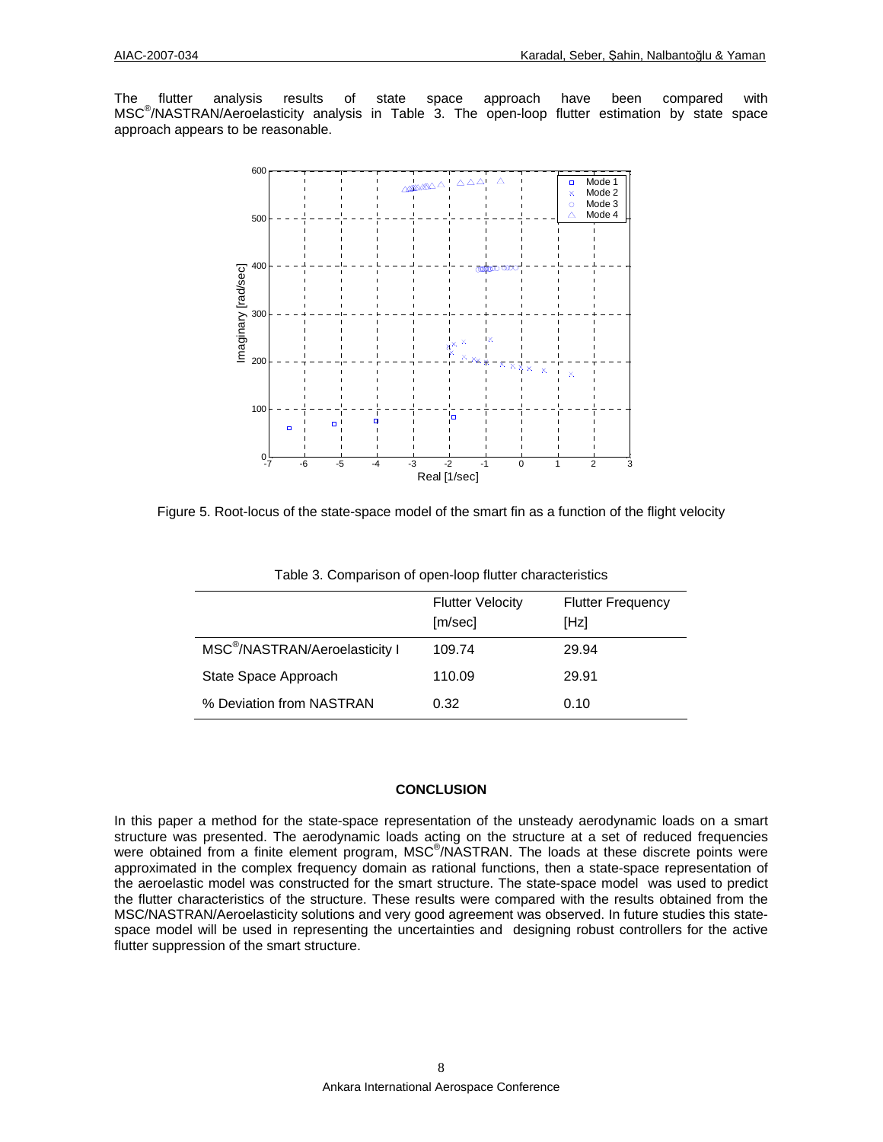The flutter analysis results of state space approach have been compared with MSC® /NASTRAN/Aeroelasticity analysis in Table 3. The open-loop flutter estimation by state space approach appears to be reasonable.



Figure 5. Root-locus of the state-space model of the smart fin as a function of the flight velocity

|                                            | <b>Flutter Velocity</b><br>[m/sec] | <b>Flutter Frequency</b><br>[Hz] |
|--------------------------------------------|------------------------------------|----------------------------------|
| MSC <sup>®</sup> /NASTRAN/Aeroelasticity I | 109.74                             | 29.94                            |
| State Space Approach                       | 110.09                             | 29.91                            |
| % Deviation from NASTRAN                   | 0.32                               | 0.10                             |

Table 3. Comparison of open-loop flutter characteristics

# **CONCLUSION**

In this paper a method for the state-space representation of the unsteady aerodynamic loads on a smart structure was presented. The aerodynamic loads acting on the structure at a set of reduced frequencies were obtained from a finite element program, MSC®/NASTRAN. The loads at these discrete points were approximated in the complex frequency domain as rational functions, then a state-space representation of the aeroelastic model was constructed for the smart structure. The state-space model was used to predict the flutter characteristics of the structure. These results were compared with the results obtained from the MSC/NASTRAN/Aeroelasticity solutions and very good agreement was observed. In future studies this statespace model will be used in representing the uncertainties and designing robust controllers for the active flutter suppression of the smart structure.